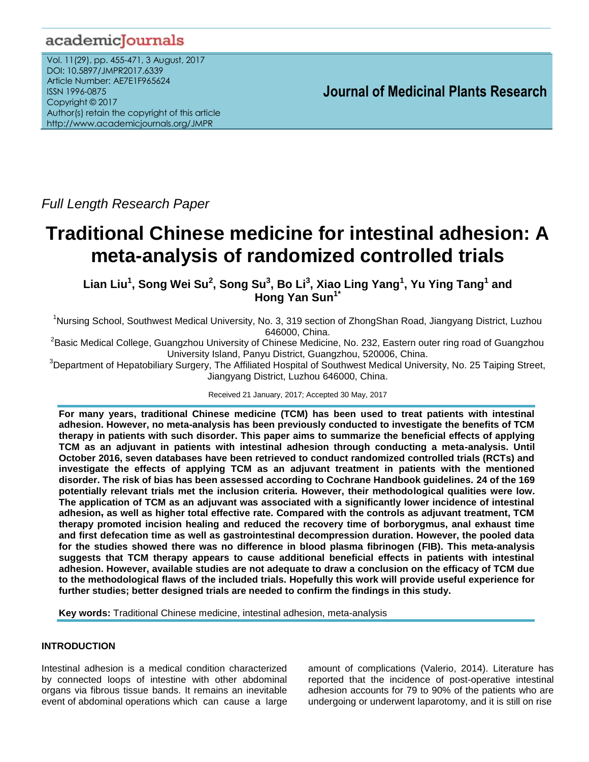# academicJournals

Vol. 11(29), pp. 455-471, 3 August, 2017 DOI: 10.5897/JMPR2017.6339 Article Number: AE7E1F965624 ISSN 1996-0875 Copyright © 2017 Author(s) retain the copyright of this article http://www.academicjournals.org/JMPR

 **Journal of Medicinal Plants Research**

*Full Length Research Paper*

# **Traditional Chinese medicine for intestinal adhesion: A meta-analysis of randomized controlled trials**

 $\mathsf{Lin} \textbf{L} \textbf{u}^1$ , Song Wei Su<sup>2</sup>, Song Su<sup>3</sup>, Bo Li $^3$ , Xiao Ling Yang<sup>1</sup>, Yu Ying Tang<sup>1</sup> and **Hong Yan Sun1\***

<sup>1</sup>Nursing School, Southwest Medical University, No. 3, 319 section of ZhongShan Road, Jiangyang District, Luzhou 646000, China.

 $^2$ Basic Medical College, Guangzhou University of Chinese Medicine, No. 232, Eastern outer ring road of Guangzhou University Island, Panyu District, Guangzhou, 520006, China.

<sup>3</sup>Department of Hepatobiliary Surgery, The Affiliated Hospital of Southwest Medical University, No. 25 Taiping Street, Jiangyang District, Luzhou 646000, China.

Received 21 January, 2017; Accepted 30 May, 2017

**For many years, traditional Chinese medicine (TCM) has been used to treat patients with intestinal adhesion. However, no meta-analysis has been previously conducted to investigate the benefits of TCM therapy in patients with such disorder. This paper aims to summarize the beneficial effects of applying TCM as an adjuvant in patients with intestinal adhesion through conducting a meta-analysis. Until October 2016, seven databases have been retrieved to conduct randomized controlled trials (RCTs) and investigate the effects of applying TCM as an adjuvant treatment in patients with the mentioned disorder. The risk of bias has been assessed according to Cochrane Handbook guidelines. 24 of the 169 potentially relevant trials met the inclusion criteria. However, their methodological qualities were low. The application of TCM as an adjuvant was associated with a significantly lower incidence of intestinal adhesion, as well as higher total effective rate. Compared with the controls as adjuvant treatment, TCM therapy promoted incision healing and reduced the recovery time of borborygmus, anal exhaust time and first defecation time as well as gastrointestinal decompression duration. However, the pooled data for the studies showed there was no difference in blood plasma fibrinogen (FIB). This meta-analysis suggests that TCM therapy appears to cause additional beneficial effects in patients with intestinal adhesion. However, available studies are not adequate to draw a conclusion on the efficacy of TCM due to the methodological flaws of the included trials. Hopefully this work will provide useful experience for further studies; better designed trials are needed to confirm the findings in this study.**

**Key words:** Traditional Chinese medicine, intestinal adhesion, meta-analysis

# **INTRODUCTION**

Intestinal adhesion is a medical condition characterized by connected loops of intestine with other abdominal organs via fibrous tissue bands. It remains an inevitable event of abdominal operations which can cause a large amount of complications (Valerio, 2014). Literature has reported that the incidence of post-operative intestinal adhesion accounts for 79 to 90% of the patients who are undergoing or underwent laparotomy, and it is still on rise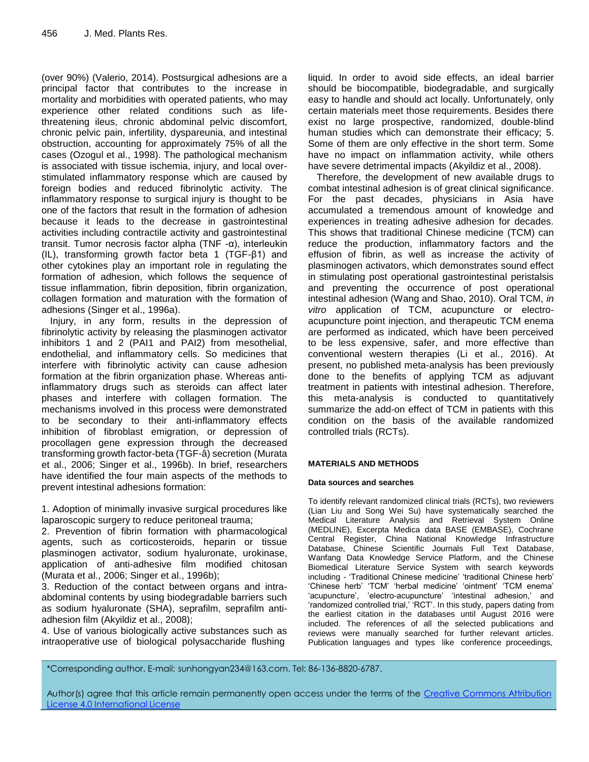(over 90%) (Valerio, 2014). Postsurgical adhesions are a principal factor that contributes to the increase in mortality and morbidities with operated patients, who may experience other related conditions such as lifethreatening ileus, chronic abdominal pelvic discomfort, chronic pelvic pain, infertility, dyspareunia, and intestinal obstruction, accounting for approximately 75% of all the cases (Ozogul et al., 1998). The pathological mechanism is associated with tissue ischemia, injury, and local overstimulated inflammatory response which are caused by foreign bodies and reduced fibrinolytic activity. The inflammatory response to surgical injury is thought to be one of the factors that result in the formation of adhesion because it leads to the decrease in gastrointestinal activities including contractile activity and gastrointestinal transit. Tumor necrosis factor alpha (TNF -α), interleukin (IL), transforming growth factor beta 1 (TGF-β1) and other cytokines play an important role in regulating the formation of adhesion, which follows the sequence of tissue inflammation, fibrin deposition, fibrin organization, collagen formation and maturation with the formation of adhesions (Singer et al., 1996a).

Injury, in any form, results in the depression of fibrinolytic activity by releasing the plasminogen activator inhibitors 1 and 2 (PAI1 and PAI2) from mesothelial, endothelial, and inflammatory cells. So medicines that interfere with fibrinolytic activity can cause adhesion formation at the fibrin organization phase. Whereas antiinflammatory drugs such as steroids can affect later phases and interfere with collagen formation. The mechanisms involved in this process were demonstrated to be secondary to their anti-inflammatory effects inhibition of fibroblast emigration, or depression of procollagen gene expression through the decreased transforming growth factor-beta (TGF-â) secretion (Murata et al., 2006; Singer et al., 1996b). In brief, researchers have identified the four main aspects of the methods to prevent intestinal adhesions formation:

1. Adoption of minimally invasive surgical procedures like laparoscopic surgery to reduce peritoneal trauma;

2. Prevention of fibrin formation with pharmacological agents, such as corticosteroids, heparin or tissue plasminogen activator, sodium hyaluronate, urokinase, application of anti-adhesive film modified chitosan (Murata et al., 2006; Singer et al., 1996b);

3. Reduction of the contact between organs and intraabdominal contents by using biodegradable barriers such as sodium hyaluronate (SHA), seprafilm, seprafilm antiadhesion film (Akyildiz et al., 2008);

4. Use of various biologically active substances such as intraoperative use of biological polysaccharide flushing

liquid. In order to avoid side effects, an ideal barrier should be biocompatible, biodegradable, and surgically easy to handle and should act locally. Unfortunately, only certain materials meet those requirements. Besides there exist no large prospective, randomized, double-blind human studies which can demonstrate their efficacy; 5. Some of them are only effective in the short term. Some have no impact on inflammation activity, while others have severe detrimental impacts (Akyildiz et al., 2008).

Therefore, the development of new available drugs to combat intestinal adhesion is of great clinical significance. For the past decades, physicians in Asia have accumulated a tremendous amount of knowledge and experiences in treating adhesive adhesion for decades. This shows that traditional Chinese medicine (TCM) can reduce the production, inflammatory factors and the effusion of fibrin, as well as increase the activity of plasminogen activators, which demonstrates sound effect in stimulating post operational gastrointestinal peristalsis and preventing the occurrence of post operational intestinal adhesion (Wang and Shao, 2010). Oral TCM, *in vitro* application of TCM, acupuncture or electroacupuncture point injection, and therapeutic TCM enema are performed as indicated, which have been perceived to be less expensive, safer, and more effective than conventional western therapies (Li et al., 2016). At present, no published meta-analysis has been previously done to the benefits of applying TCM as adjuvant treatment in patients with intestinal adhesion. Therefore, this meta-analysis is conducted to quantitatively summarize the add-on effect of TCM in patients with this condition on the basis of the available randomized controlled trials (RCTs).

#### **MATERIALS AND METHODS**

#### **Data sources and searches**

To identify relevant randomized clinical trials (RCTs), two reviewers (Lian Liu and Song Wei Su) have systematically searched the Medical Literature Analysis and Retrieval System Online (MEDLINE), Excerpta Medica data BASE (EMBASE), Cochrane Central Register, China National Knowledge Infrastructure Database, Chinese Scientific Journals Full Text Database, Wanfang Data Knowledge Service Platform, and the Chinese Biomedical Literature Service System with search keywords including - 'Traditional Chinese medicine' 'traditional Chinese herb' 'Chinese herb' 'TCM' 'herbal medicine' 'ointment' 'TCM enema' 'acupuncture', 'electro-acupuncture' 'intestinal adhesion,' and "randomized controlled trial," "RCT". In this study, papers dating from the earliest citation in the databases until August 2016 were included. The references of all the selected publications and reviews were manually searched for further relevant articles. Publication languages and types like conference proceedings,

\*Corresponding author. E-mail: sunhongyan234@163.com. Tel: 86-136-8820-6787.

Author(s) agree that this article remain permanently open access under the terms of the Creative Commons Attribution License 4.0 [International](http://creativecommons.org/licenses/by/4.0/deed.en_US) License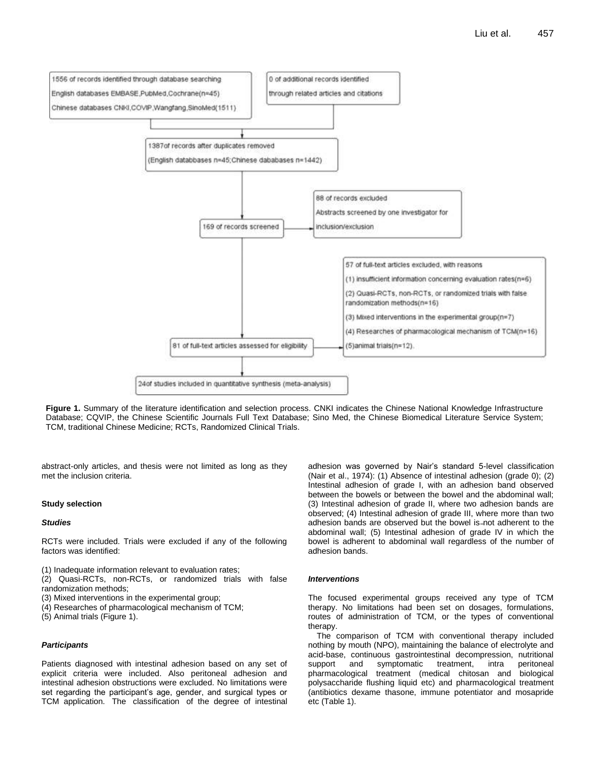

**Figure 1.** Summary of the literature identification and selection process. CNKI indicates the Chinese National Knowledge Infrastructure Database; CQVIP, the Chinese Scientific Journals Full Text Database; Sino Med, the Chinese Biomedical Literature Service System; TCM, traditional Chinese Medicine; RCTs, Randomized Clinical Trials.

abstract-only articles, and thesis were not limited as long as they met the inclusion criteria.

#### **Study selection**

#### *Studies*

RCTs were included. Trials were excluded if any of the following factors was identified:

- (1) Inadequate information relevant to evaluation rates;
- (2) Quasi-RCTs, non-RCTs, or randomized trials with false randomization methods;
- (3) Mixed interventions in the experimental group;
- (4) Researches of pharmacological mechanism of TCM;
- (5) Animal trials (Figure 1).

#### *Participants*

Patients diagnosed with intestinal adhesion based on any set of explicit criteria were included. Also peritoneal adhesion and intestinal adhesion obstructions were excluded. No limitations were set regarding the participant's age, gender, and surgical types or TCM application. The classification of the degree of intestinal

adhesion was governed by Nair"s standard 5-level classification (Nair et al., 1974): (1) Absence of intestinal adhesion (grade 0); (2) Intestinal adhesion of grade I, with an adhesion band observed between the bowels or between the bowel and the abdominal wall; (3) Intestinal adhesion of grade II, where two adhesion bands are observed; (4) Intestinal adhesion of grade III, where more than two adhesion bands are observed but the bowel is-not adherent to the abdominal wall; (5) Intestinal adhesion of grade IV in which the bowel is adherent to abdominal wall regardless of the number of adhesion bands.

#### *Interventions*

The focused experimental groups received any type of TCM therapy. No limitations had been set on dosages, formulations, routes of administration of TCM, or the types of conventional therapy.

The comparison of TCM with conventional therapy included nothing by mouth (NPO), maintaining the balance of electrolyte and acid-base, continuous gastrointestinal decompression, nutritional support and symptomatic treatment, intra peritoneal pharmacological treatment (medical chitosan and biological polysaccharide flushing liquid etc) and pharmacological treatment (antibiotics dexame thasone, immune potentiator and mosapride etc (Table 1).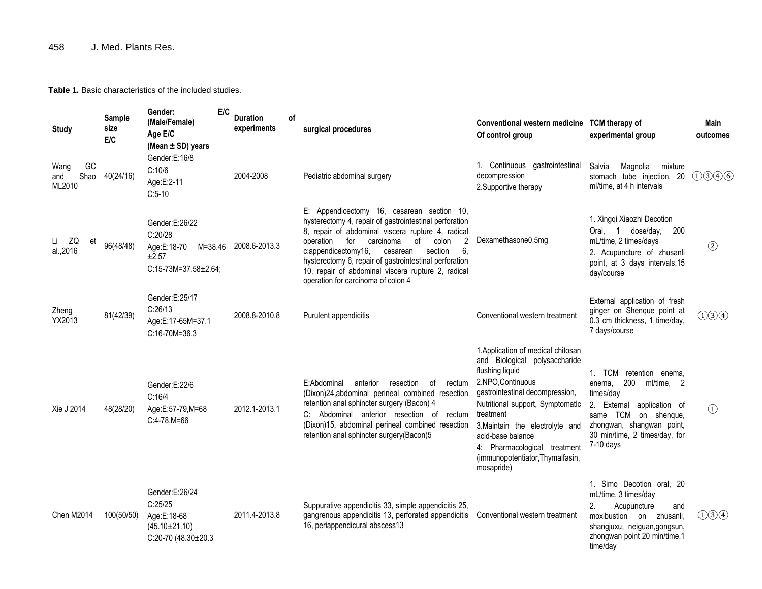# 458 J. Med. Plants Res.

**Table 1.** Basic characteristics of the included studies.

| <b>Study</b>                        | Sample<br>size<br>E/C | E/C<br>Gender:<br>(Male/Female)<br>Age E/C<br>(Mean ± SD) years                           | <b>Duration</b><br>experiments | оf | surgical procedures                                                                                                                                                                                                                                                                                                                                                                                                                   | Conventional western medicine TCM therapy of<br>Of control group                                                                                                                                                                                                                                                                          | experimental group                                                                                                                                                                                      | Main<br>outcomes             |
|-------------------------------------|-----------------------|-------------------------------------------------------------------------------------------|--------------------------------|----|---------------------------------------------------------------------------------------------------------------------------------------------------------------------------------------------------------------------------------------------------------------------------------------------------------------------------------------------------------------------------------------------------------------------------------------|-------------------------------------------------------------------------------------------------------------------------------------------------------------------------------------------------------------------------------------------------------------------------------------------------------------------------------------------|---------------------------------------------------------------------------------------------------------------------------------------------------------------------------------------------------------|------------------------------|
| GC<br>Wang<br>Shao<br>and<br>ML2010 | 40(24/16)             | Gender:E:16/8<br>C:10/6<br>Age:E:2-11<br>$C:5-10$                                         | 2004-2008                      |    | Pediatric abdominal surgery                                                                                                                                                                                                                                                                                                                                                                                                           | 1. Continuous gastrointestinal<br>decompression<br>2. Supportive therapy                                                                                                                                                                                                                                                                  | Salvia<br>Magnolia<br>mixture<br>stomach tube injection, 20<br>ml/time, at 4 h intervals                                                                                                                | (1)(3)(4)(6)                 |
| Li ZQ<br>et<br>al.,2016             | 96(48/48)             | Gender:E:26/22<br>C:20/28<br>Age:E:18-70<br>M=38.46<br>±2.57<br>$C:15-73M=37.58\pm2.64$ ; | 2008.6-2013.3                  |    | E: Appendicectomy 16, cesarean section 10,<br>hysterectomy 4, repair of gastrointestinal perforation<br>8, repair of abdominal viscera rupture 4, radical<br>$\overline{2}$<br>operation<br>for<br>colon<br>carcinoma<br>of<br>c:appendicectomy16,<br>6.<br>cesarean<br>section<br>hysterectomy 6, repair of gastrointestinal perforation<br>10, repair of abdominal viscera rupture 2, radical<br>operation for carcinoma of colon 4 | Dexamethasone0.5mg                                                                                                                                                                                                                                                                                                                        | 1. Xingqi Xiaozhi Decotion<br>Oral, 1 dose/day,<br>200<br>mL/time, 2 times/days<br>2. Acupuncture of zhusanli<br>point, at 3 days intervals, 15<br>day/course                                           | $\circled{2}$                |
| Zheng<br>YX2013                     | 81(42/39)             | Gender:E:25/17<br>C:26/13<br>Age:E:17-65M=37.1<br>C:16-70M=36.3                           | 2008.8-2010.8                  |    | Purulent appendicitis                                                                                                                                                                                                                                                                                                                                                                                                                 | Conventional western treatment                                                                                                                                                                                                                                                                                                            | External application of fresh<br>ginger on Shenque point at<br>0.3 cm thickness, 1 time/day,<br>7 days/course                                                                                           | (1)3(4)                      |
| Xie J 2014                          | 48(28/20)             | Gender:E:22/6<br>C:16/4<br>Age:E:57-79,M=68<br>$C:4-78.M=66$                              | 2012.1-2013.1                  |    | E:Abdominal<br>anterior<br>resection<br>of<br>rectum<br>(Dixon)24, abdominal perineal combined resection<br>retention anal sphincter surgery (Bacon) 4<br>C: Abdominal anterior resection of rectum<br>(Dixon)15, abdominal perineal combined resection<br>retention anal sphincter surgery(Bacon)5                                                                                                                                   | 1. Application of medical chitosan<br>and Biological polysaccharide<br>flushing liquid<br>2.NPO, Continuous<br>gastrointestinal decompression,<br>Nutritional support, Symptomatic<br>treatment<br>3. Maintain the electrolyte and<br>acid-base balance<br>4: Pharmacological treatment<br>(immunopotentiator, Thymalfasin,<br>mosapride) | 1. TCM retention enema,<br>200<br>ml/time, 2<br>enema.<br>times/day<br>2. External application of<br>same TCM<br>on shenque,<br>zhongwan, shangwan point,<br>30 min/time, 2 times/day, for<br>7-10 days | $\left( \overline{1}\right)$ |
| Chen M2014                          | 100(50/50)            | Gender:E:26/24<br>C:25/25<br>Age:E:18-68<br>$(45.10 \pm 21.10)$<br>C:20-70 (48.30±20.3    | 2011.4-2013.8                  |    | Suppurative appendicitis 33, simple appendicitis 25,<br>gangrenous appendicitis 13, perforated appendicitis<br>16, periappendicural abscess13                                                                                                                                                                                                                                                                                         | Conventional western treatment                                                                                                                                                                                                                                                                                                            | 1. Simo Decotion oral, 20<br>mL/time, 3 times/day<br>Acupuncture<br>2.<br>and<br>moxibustion on zhusanli,<br>shangjuxu, neiguan, gongsun,<br>zhongwan point 20 min/time,1<br>time/day                   | (1)3(4)                      |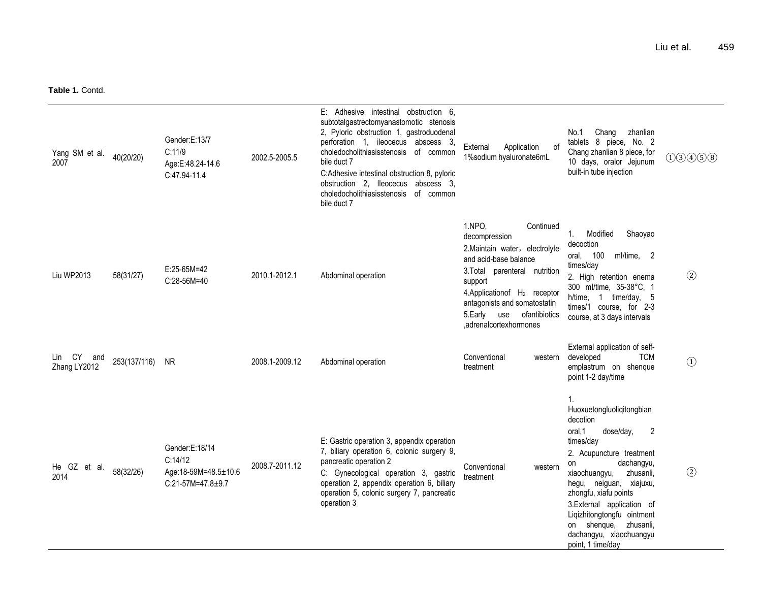| Yang SM et al.<br>2007        | 40(20/20)    | Gender:E:13/7<br>C:11/9<br>Age:E:48.24-14.6<br>C:47.94-11.4              | 2002.5-2005.5  | E: Adhesive intestinal obstruction 6,<br>subtotalgastrectomyanastomotic stenosis<br>2, Pyloric obstruction 1, gastroduodenal<br>perforation 1, ileocecus abscess 3,<br>choledocholithiasisstenosis of common<br>bile duct 7<br>C:Adhesive intestinal obstruction 8, pyloric<br>obstruction 2, lleocecus abscess 3,<br>choledocholithiasisstenosis of common<br>bile duct 7 | of<br>External<br>Application<br>1%sodium hyaluronate6mL                                                                                                                                                                                                                            | No.1<br>Chang<br>zhanlian<br>tablets 8 piece, No. 2<br>Chang zhanlian 8 piece, for<br>10 days, oralor Jejunum<br>built-in tube injection                                                                                                                                                                                                                                | (1)3(4)5(8)                  |
|-------------------------------|--------------|--------------------------------------------------------------------------|----------------|----------------------------------------------------------------------------------------------------------------------------------------------------------------------------------------------------------------------------------------------------------------------------------------------------------------------------------------------------------------------------|-------------------------------------------------------------------------------------------------------------------------------------------------------------------------------------------------------------------------------------------------------------------------------------|-------------------------------------------------------------------------------------------------------------------------------------------------------------------------------------------------------------------------------------------------------------------------------------------------------------------------------------------------------------------------|------------------------------|
| Liu WP2013                    | 58(31/27)    | $E:25-65M=42$<br>C:28-56M=40                                             | 2010.1-2012.1  | Abdominal operation                                                                                                                                                                                                                                                                                                                                                        | 1.NPO.<br>Continued<br>decompression<br>2. Maintain water, electrolyte<br>and acid-base balance<br>3. Total parenteral nutrition<br>support<br>4. Application of H <sub>2</sub> receptor<br>antagonists and somatostatin<br>ofantibiotics<br>5. Early use<br>,adrenalcortexhormones | Modified<br>Shaoyao<br>$\mathbf{1}$ .<br>decoction<br>oral, 100<br>ml/time, 2<br>times/day<br>2. High retention enema<br>300 ml/time, 35-38°C, 1<br>time/day, 5<br>h/time, 1<br>times/1 course, for 2-3<br>course, at 3 days intervals                                                                                                                                  | $\circled{2}$                |
| Lin CY<br>and<br>Zhang LY2012 | 253(137/116) | <b>NR</b>                                                                | 2008.1-2009.12 | Abdominal operation                                                                                                                                                                                                                                                                                                                                                        | Conventional<br>western<br>treatment                                                                                                                                                                                                                                                | External application of self-<br><b>TCM</b><br>developed<br>emplastrum on shenque<br>point 1-2 day/time                                                                                                                                                                                                                                                                 | $\left( \overline{1}\right)$ |
| He GZ et al.<br>2014          | 58(32/26)    | Gender:E:18/14<br>C:14/12<br>Age:18-59M=48.5±10.6<br>$C:21-57M=47.8+9.7$ | 2008.7-2011.12 | E: Gastric operation 3, appendix operation<br>7, biliary operation 6, colonic surgery 9,<br>pancreatic operation 2<br>C: Gynecological operation 3, gastric<br>operation 2, appendix operation 6, biliary<br>operation 5, colonic surgery 7, pancreatic<br>operation 3                                                                                                     | Conventional<br>western<br>treatment                                                                                                                                                                                                                                                | $\mathbf{1}$ .<br>Huoxuetongluoligitongbian<br>decotion<br>2<br>oral, 1<br>dose/day,<br>times/day<br>2. Acupuncture treatment<br>dachangyu,<br>on<br>zhusanli,<br>xiaochuangyu,<br>hegu, neiguan, xiajuxu,<br>zhongfu, xiafu points<br>3.External application of<br>Ligizhitongtongfu ointment<br>on shenque, zhusanli,<br>dachangyu, xiaochuangyu<br>point, 1 time/day | $\circled{2}$                |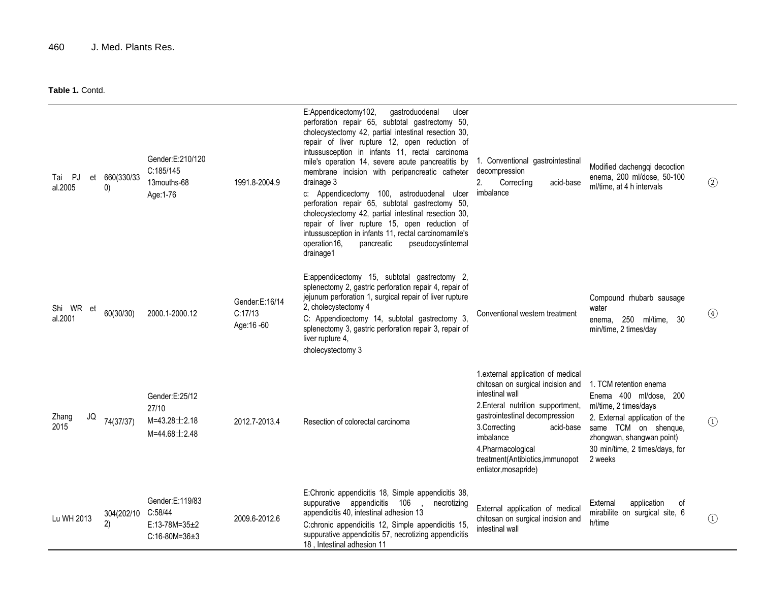| Tai PJ<br>et<br>al.2005 | 660(330/33<br>0) | Gender:E:210/120<br>C:185/145<br>13mouths-68<br>Age: 1-76             | 1991.8-2004.9                             | E:Appendicectomy102,<br>gastroduodenal<br>ulcer<br>perforation repair 65, subtotal gastrectomy 50,<br>cholecystectomy 42, partial intestinal resection 30,<br>repair of liver rupture 12, open reduction of<br>intussusception in infants 11, rectal carcinoma<br>mile's operation 14, severe acute pancreatitis by<br>membrane incision with peripancreatic catheter<br>drainage 3<br>c: Appendicectomy 100, astroduodenal<br>ulcer<br>perforation repair 65, subtotal gastrectomy 50,<br>cholecystectomy 42, partial intestinal resection 30,<br>repair of liver rupture 15, open reduction of<br>intussusception in infants 11, rectal carcinomamile's<br>operation16.<br>pancreatic<br>pseudocystinternal<br>drainage1 | 1. Conventional gastrointestinal<br>decompression<br>2.<br>Correcting<br>acid-base<br>imbalance                                                                                                                                                                                              | Modified dachenggi decoction<br>enema, 200 ml/dose, 50-100<br>ml/time, at 4 h intervals                                                                                                                       | $\circled{2}$                  |
|-------------------------|------------------|-----------------------------------------------------------------------|-------------------------------------------|----------------------------------------------------------------------------------------------------------------------------------------------------------------------------------------------------------------------------------------------------------------------------------------------------------------------------------------------------------------------------------------------------------------------------------------------------------------------------------------------------------------------------------------------------------------------------------------------------------------------------------------------------------------------------------------------------------------------------|----------------------------------------------------------------------------------------------------------------------------------------------------------------------------------------------------------------------------------------------------------------------------------------------|---------------------------------------------------------------------------------------------------------------------------------------------------------------------------------------------------------------|--------------------------------|
| Shi WR et<br>al.2001    | 60(30/30)        | 2000.1-2000.12                                                        | Gender:E:16/14<br>C:17/13<br>Age: 16 - 60 | E:appendicectomy 15, subtotal gastrectomy 2,<br>splenectomy 2, gastric perforation repair 4, repair of<br>jejunum perforation 1, surgical repair of liver rupture<br>2, cholecystectomy 4<br>C: Appendicectomy 14, subtotal gastrectomy 3,<br>splenectomy 3, gastric perforation repair 3, repair of<br>liver rupture 4,<br>cholecystectomy 3                                                                                                                                                                                                                                                                                                                                                                              | Conventional western treatment                                                                                                                                                                                                                                                               | Compound rhubarb sausage<br>water<br>250 ml/time, 30<br>enema,<br>min/time, 2 times/day                                                                                                                       | $\circled{4}$                  |
| Zhang<br>JQ<br>2015     | 74(37/37)        | Gender:E:25/12<br>27/10<br>$M=43.28 \pm 2.18$<br>$M = 44.68 \pm 2.48$ | 2012.7-2013.4                             | Resection of colorectal carcinoma                                                                                                                                                                                                                                                                                                                                                                                                                                                                                                                                                                                                                                                                                          | 1. external application of medical<br>chitosan on surgical incision and<br>intestinal wall<br>2. Enteral nutrition supportment,<br>gastrointestinal decompression<br>3.Correcting<br>acid-base<br>imbalance<br>4.Pharmacological<br>treatment(Antibiotics, immunopot<br>entiator, mosapride) | 1. TCM retention enema<br>Enema 400 ml/dose, 200<br>ml/time, 2 times/days<br>2. External application of the<br>same TCM on shenque,<br>zhongwan, shangwan point)<br>30 min/time, 2 times/days, for<br>2 weeks | $\circled{1}$                  |
| Lu WH 2013              | 304(202/10<br>2) | Gender:E:119/83<br>C:58/44<br>$E:13-78M=35+2$<br>$C:16-80M=36+3$      | 2009.6-2012.6                             | E:Chronic appendicitis 18, Simple appendicitis 38,<br>suppurative appendicitis 106<br>necrotizing<br>appendicitis 40, intestinal adhesion 13<br>C:chronic appendicitis 12, Simple appendicitis 15,<br>suppurative appendicitis 57, necrotizing appendicitis<br>18, Intestinal adhesion 11                                                                                                                                                                                                                                                                                                                                                                                                                                  | External application of medical<br>chitosan on surgical incision and<br>intestinal wall                                                                                                                                                                                                      | External<br>application<br>of<br>mirabilite on surgical site, 6<br>h/time                                                                                                                                     | $\textcircled{\scriptsize{1}}$ |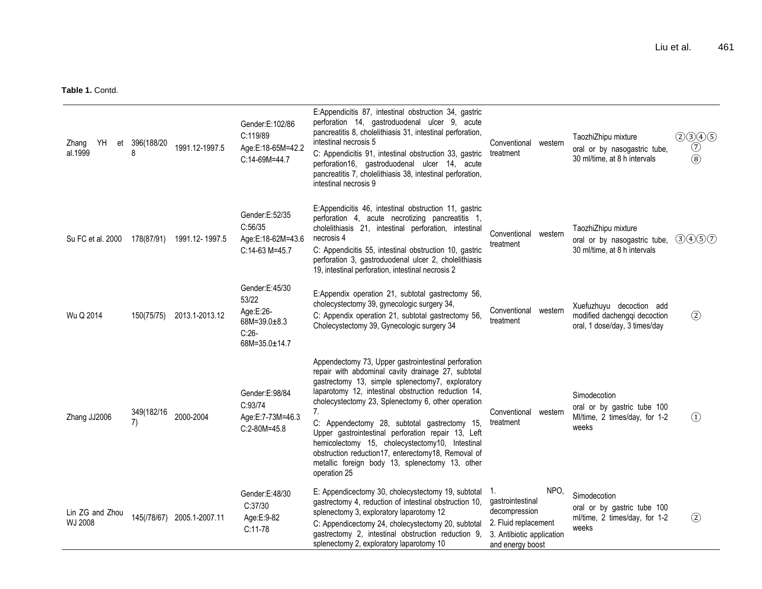| YH<br>Zhang<br>et<br>al.1999 | 396(188/20<br>8  | 1991.12-1997.5             | Gender:E:102/86<br>C:119/89<br>Age:E:18-65M=42.2<br>C:14-69M=44.7                      | E:Appendicitis 87, intestinal obstruction 34, gastric<br>perforation 14, gastroduodenal ulcer 9, acute<br>pancreatitis 8, cholelithiasis 31, intestinal perforation,<br>intestinal necrosis 5<br>C: Appendicitis 91, intestinal obstruction 33, gastric<br>perforation16, gastroduodenal ulcer 14, acute<br>pancreatitis 7, cholelithiasis 38, intestinal perforation,<br>intestinal necrosis 9                                                                                                                                                                    | Conventional western<br>treatment                                                                                         | TaozhiZhipu mixture<br>oral or by nasogastric tube,<br>30 ml/time, at 8 h intervals       | $\begin{array}{c} (2) (3) (4) (5) \\ \hline (7) \\ (8) \end{array}$ |
|------------------------------|------------------|----------------------------|----------------------------------------------------------------------------------------|--------------------------------------------------------------------------------------------------------------------------------------------------------------------------------------------------------------------------------------------------------------------------------------------------------------------------------------------------------------------------------------------------------------------------------------------------------------------------------------------------------------------------------------------------------------------|---------------------------------------------------------------------------------------------------------------------------|-------------------------------------------------------------------------------------------|---------------------------------------------------------------------|
| Su FC et al. 2000            | 178(87/91)       | 1991.12-1997.5             | Gender:E:52/35<br>C:56/35<br>Age:E:18-62M=43.6<br>C:14-63 M=45.7                       | E:Appendicitis 46, intestinal obstruction 11, gastric<br>perforation 4, acute necrotizing pancreatitis 1,<br>cholelithiasis 21, intestinal perforation, intestinal<br>necrosis 4<br>C: Appendicitis 55, intestinal obstruction 10, gastric<br>perforation 3, gastroduodenal ulcer 2, cholelithiasis<br>19, intestinal perforation, intestinal necrosis 2                                                                                                                                                                                                           | Conventional western<br>treatment                                                                                         | TaozhiZhipu mixture<br>oral or by nasogastric tube,<br>30 ml/time, at 8 h intervals       | (3)(4)(5)(7)                                                        |
| Wu Q 2014                    | 150(75/75)       | 2013.1-2013.12             | Gender:E:45/30<br>53/22<br>Age:E:26-<br>68M=39.0 $\pm$ 8.3<br>$C:26-$<br>68M=35.0±14.7 | E:Appendix operation 21, subtotal gastrectomy 56,<br>cholecystectomy 39, gynecologic surgery 34,<br>C: Appendix operation 21, subtotal gastrectomy 56,<br>Cholecystectomy 39, Gynecologic surgery 34                                                                                                                                                                                                                                                                                                                                                               | Conventional western<br>treatment                                                                                         | Xuefuzhuyu decoction add<br>modified dachengqi decoction<br>oral, 1 dose/day, 3 times/day | $\circled{2}$                                                       |
| Zhang JJ2006                 | 349(182/16<br>7) | 2000-2004                  | Gender:E:98/84<br>C:93/74<br>Age:E:7-73M=46.3<br>$C:2-80M=45.8$                        | Appendectomy 73, Upper gastrointestinal perforation<br>repair with abdominal cavity drainage 27, subtotal<br>gastrectomy 13, simple splenectomy7, exploratory<br>laparotomy 12, intestinal obstruction reduction 14,<br>cholecystectomy 23, Splenectomy 6, other operation<br>7.<br>C: Appendectomy 28, subtotal gastrectomy 15,<br>Upper gastrointestinal perforation repair 13, Left<br>hemicolectomy 15, cholecystectomy10, Intestinal<br>obstruction reduction17, enterectomy18, Removal of<br>metallic foreign body 13, splenectomy 13, other<br>operation 25 | Conventional western<br>treatment                                                                                         | Simodecotion<br>oral or by gastric tube 100<br>Ml/time, 2 times/day, for 1-2<br>weeks     | $\Omega$                                                            |
| Lin ZG and Zhou<br>WJ 2008   |                  | 145(/78/67) 2005.1-2007.11 | Gender:E:48/30<br>C:37/30<br>Age:E:9-82<br>$C:11-78$                                   | E: Appendicectomy 30, cholecystectomy 19, subtotal<br>gastrectomy 4, reduction of intestinal obstruction 10,<br>splenectomy 3, exploratory laparotomy 12<br>C: Appendicectomy 24, cholecystectomy 20, subtotal<br>gastrectomy 2, intestinal obstruction reduction 9,<br>splenectomy 2, exploratory laparotomy 10                                                                                                                                                                                                                                                   | NPO,<br>-1.<br>gastrointestinal<br>decompression<br>2. Fluid replacement<br>3. Antibiotic application<br>and energy boost | Simodecotion<br>oral or by gastric tube 100<br>ml/time, 2 times/day, for 1-2<br>weeks     | $\circled{2}$                                                       |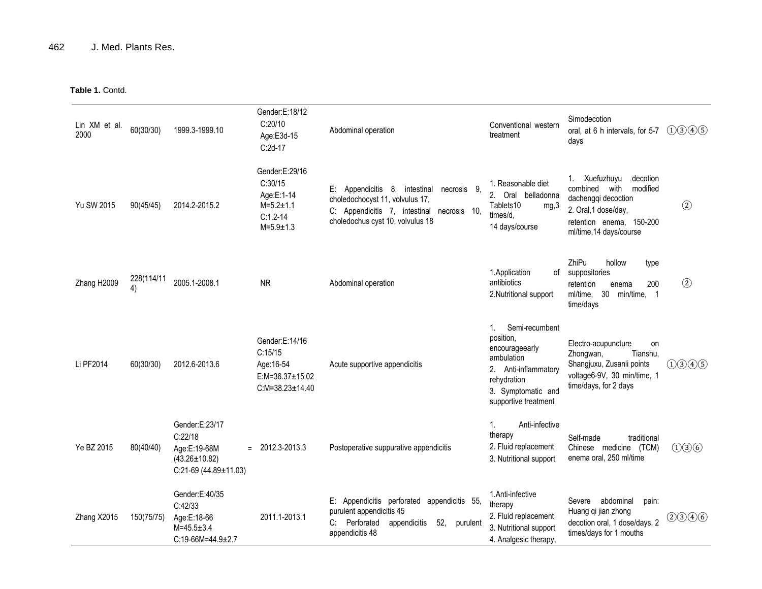| Lin XM et al.<br>2000 | 60(30/30)        | 1999.3-1999.10                                                                                    | Gender:E:18/12<br>C:20/10<br>Age:E3d-15<br>$C:2d-17$                                            | Abdominal operation                                                                                                                                                      | Conventional western<br>treatment                                                                                                                               | Simodecotion<br>oral, at 6 h intervals, for 5-7<br>days                                                                                                      | (1)3(4)5      |
|-----------------------|------------------|---------------------------------------------------------------------------------------------------|-------------------------------------------------------------------------------------------------|--------------------------------------------------------------------------------------------------------------------------------------------------------------------------|-----------------------------------------------------------------------------------------------------------------------------------------------------------------|--------------------------------------------------------------------------------------------------------------------------------------------------------------|---------------|
| Yu SW 2015            | 90(45/45)        | 2014.2-2015.2                                                                                     | Gender:E:29/16<br>C:30/15<br>Age:E:1-14<br>$M = 5.2 \pm 1.1$<br>$C:1.2-14$<br>$M = 5.9 \pm 1.3$ | Appendicitis 8,<br>-9.<br>E:<br>intestinal necrosis<br>choledochocyst 11, volvulus 17,<br>C: Appendicitis 7, intestinal necrosis 10,<br>choledochus cyst 10, volvulus 18 | 1. Reasonable diet<br>2.<br>Oral belladonna<br>Tablets10<br>mg,3<br>times/d.<br>14 days/course                                                                  | 1. Xuefuzhuyu<br>decotion<br>combined with<br>modified<br>dachengqi decoction<br>2. Oral, 1 dose/day,<br>retention enema, 150-200<br>ml/time, 14 days/course | $\circled{2}$ |
| Zhang H2009           | 228(114/11<br>4) | 2005.1-2008.1                                                                                     | <b>NR</b>                                                                                       | Abdominal operation                                                                                                                                                      | 1. Application<br>οf<br>antibiotics<br>2.Nutritional support                                                                                                    | ZhiPu<br>hollow<br>type<br>suppositories<br>200<br>retention<br>enema<br>ml/time, 30<br>min/time, 1<br>time/days                                             | $\circled{2}$ |
| Li PF2014             | 60(30/30)        | 2012.6-2013.6                                                                                     | Gender:E:14/16<br>C:15/15<br>Age: 16-54<br>$E:M=36.37\pm15.02$<br>$C:M=38.23\pm14.40$           | Acute supportive appendicitis                                                                                                                                            | Semi-recumbent<br>$1_{\cdot}$<br>position,<br>encourageearly<br>ambulation<br>2. Anti-inflammatory<br>rehydration<br>3. Symptomatic and<br>supportive treatment | Electro-acupuncture<br>on<br>Tianshu,<br>Zhongwan,<br>Shangjuxu, Zusanli points<br>voltage6-9V, 30 min/time, 1<br>time/days, for 2 days                      | (1)3(4)5      |
| Ye BZ 2015            | 80(40/40)        | Gender:E:23/17<br>C:22/18<br>Age:E:19-68M<br>$(43.26 \pm 10.82)$<br>$C:21-69$ (44.89 $\pm$ 11.03) | $= 2012.3 - 2013.3$                                                                             | Postoperative suppurative appendicitis                                                                                                                                   | Anti-infective<br>1.<br>therapy<br>2. Fluid replacement<br>3. Nutritional support                                                                               | Self-made<br>traditional<br>Chinese medicine (TCM)<br>enema oral, 250 ml/time                                                                                | (1)36         |
| Zhang X2015           | 150(75/75)       | Gender:E:40/35<br>C:42/33<br>Age:E:18-66<br>$M = 45.5 \pm 3.4$<br>$C:19-66M=44.9\pm2.7$           | 2011.1-2013.1                                                                                   | Е:<br>Appendicitis perforated appendicitis 55,<br>purulent appendicitis 45<br>Perforated<br>52,<br>C: I<br>appendicitis<br>purulent<br>appendicitis 48                   | 1.Anti-infective<br>therapy<br>2. Fluid replacement<br>3. Nutritional support<br>4. Analgesic therapy                                                           | abdominal<br>Severe<br>pain:<br>Huang qi jian zhong<br>decotion oral, 1 dose/days, 2<br>times/days for 1 mouths                                              | (2)3(4)6      |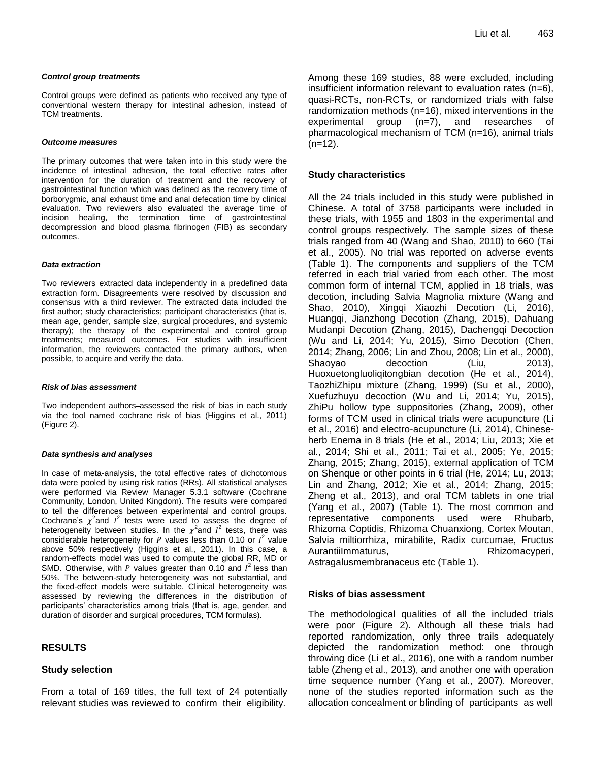#### *Control group treatments*

Control groups were defined as patients who received any type of conventional western therapy for intestinal adhesion, instead of TCM treatments.

#### *Outcome measures*

The primary outcomes that were taken into in this study were the incidence of intestinal adhesion, the total effective rates after intervention for the duration of treatment and the recovery of gastrointestinal function which was defined as the recovery time of borborygmic, anal exhaust time and anal defecation time by clinical evaluation. Two reviewers also evaluated the average time of incision healing, the termination time of gastrointestinal decompression and blood plasma fibrinogen (FIB) as secondary outcomes.

#### *Data extraction*

Two reviewers extracted data independently in a predefined data extraction form. Disagreements were resolved by discussion and consensus with a third reviewer. The extracted data included the first author; study characteristics; participant characteristics (that is, mean age, gender, sample size, surgical procedures, and systemic therapy); the therapy of the experimental and control group treatments; measured outcomes. For studies with insufficient information, the reviewers contacted the primary authors, when possible, to acquire and verify the data.

#### *Risk of bias assessment*

Two independent authors-assessed the risk of bias in each study via the tool named cochrane risk of bias (Higgins et al., 2011) (Figure 2).

#### *Data synthesis and analyses*

In case of meta-analysis, the total effective rates of dichotomous data were pooled by using risk ratios (RRs). All statistical analyses were performed via Review Manager 5.3.1 software (Cochrane Community, London, United Kingdom). The results were compared to tell the differences between experimental and control groups. Cochrane's  $\chi^2$  and  $I^2$  tests were used to assess the degree of heterogeneity between studies. In the  $\chi^2$  and  $I^2$  tests, there was considerable heterogeneity for P values less than 0.10 or  $I^2$  value above 50% respectively (Higgins et al., 2011). In this case, a random-effects model was used to compute the global RR, MD or SMD. Otherwise, with P values greater than 0.10 and  $I^2$  less than 50%. The between-study heterogeneity was not substantial, and the fixed-effect models were suitable. Clinical heterogeneity was assessed by reviewing the differences in the distribution of participants' characteristics among trials (that is, age, gender, and duration of disorder and surgical procedures, TCM formulas).

#### **RESULTS**

#### **Study selection**

From a total of 169 titles, the full text of 24 potentially relevant studies was reviewed to confirm their eligibility.

Among these 169 studies, 88 were excluded, including insufficient information relevant to evaluation rates (n=6), quasi-RCTs, non-RCTs, or randomized trials with false randomization methods (n=16), mixed interventions in the experimental group (n=7), and researches of pharmacological mechanism of TCM (n=16), animal trials  $(n=12)$ .

#### **Study characteristics**

All the 24 trials included in this study were published in Chinese. A total of 3758 participants were included in these trials, with 1955 and 1803 in the experimental and control groups respectively. The sample sizes of these trials ranged from 40 (Wang and Shao, 2010) to 660 (Tai et al., 2005). No trial was reported on adverse events (Table 1). The components and suppliers of the TCM referred in each trial varied from each other. The most common form of internal TCM, applied in 18 trials, was decotion, including Salvia Magnolia mixture (Wang and Shao, 2010), Xingqi Xiaozhi Decotion (Li, 2016), Huangqi, Jianzhong Decotion (Zhang, 2015), Dahuang Mudanpi Decotion (Zhang, 2015), Dachengqi Decoction (Wu and Li, 2014; Yu, 2015), Simo Decotion (Chen, 2014; Zhang, 2006; Lin and Zhou, 2008; Lin et al., 2000), Shaoyao decoction (Liu, 2013), Huoxuetongluoliqitongbian decotion (He et al., 2014), TaozhiZhipu mixture (Zhang, 1999) (Su et al., 2000), Xuefuzhuyu decoction (Wu and Li, 2014; Yu, 2015), ZhiPu hollow type suppositories (Zhang, 2009), other forms of TCM used in clinical trials were acupuncture (Li et al., 2016) and electro-acupuncture (Li, 2014), Chineseherb Enema in 8 trials (He et al., 2014; Liu, 2013; Xie et al., 2014; Shi et al., 2011; Tai et al., 2005; Ye, 2015; Zhang, 2015; Zhang, 2015), external application of TCM on Shenque or other points in 6 trial (He, 2014; Lu, 2013; Lin and Zhang, 2012; Xie et al., 2014; Zhang, 2015; Zheng et al., 2013), and oral TCM tablets in one trial (Yang et al., 2007) (Table 1). The most common and representative components used were Rhubarb, Rhizoma Coptidis, Rhizoma Chuanxiong, Cortex Moutan, Salvia miltiorrhiza, mirabilite, Radix curcumae, Fructus Aurantiilmmaturus, etteen alustas Rhizomacyperi,

Astragalusmembranaceus etc (Table 1).

#### **Risks of bias assessment**

The methodological qualities of all the included trials were poor (Figure 2). Although all these trials had reported randomization, only three trails adequately depicted the randomization method: one through throwing dice (Li et al., 2016), one with a random number table (Zheng et al., 2013), and another one with operation time sequence number (Yang et al., 2007). Moreover, none of the studies reported information such as the allocation concealment or blinding of participants as well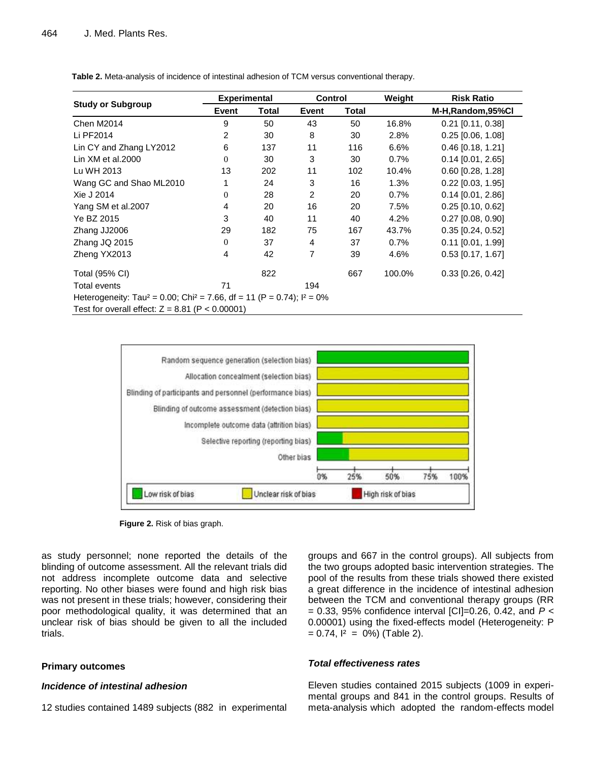|                                                                                                  | <b>Experimental</b> |       | Control        |              | Weight | <b>Risk Ratio</b>   |  |
|--------------------------------------------------------------------------------------------------|---------------------|-------|----------------|--------------|--------|---------------------|--|
| <b>Study or Subgroup</b>                                                                         | <b>Event</b>        | Total | Event          | <b>Total</b> |        | M-H, Random, 95%CI  |  |
| <b>Chen M2014</b>                                                                                | 9                   | 50    | 43             | 50           | 16.8%  | $0.21$ [0.11, 0.38] |  |
| Li PF2014                                                                                        | 2                   | 30    | 8              | 30           | 2.8%   | $0.25$ [0.06, 1.08] |  |
| Lin CY and Zhang LY2012                                                                          | 6                   | 137   | 11             | 116          | 6.6%   | $0.46$ [0.18, 1.21] |  |
| Lin $XM$ et al. $2000$                                                                           | $\Omega$            | 30    | 3              | 30           | 0.7%   | $0.14$ [0.01, 2.65] |  |
| Lu WH 2013                                                                                       | 13                  | 202   | 11             | 102          | 10.4%  | $0.60$ [0.28, 1.28] |  |
| Wang GC and Shao ML2010                                                                          |                     | 24    | 3              | 16           | 1.3%   | $0.22$ [0.03, 1.95] |  |
| Xie J 2014                                                                                       | $\Omega$            | 28    | $\overline{c}$ | 20           | 0.7%   | $0.14$ [0.01, 2.86] |  |
| Yang SM et al.2007                                                                               | 4                   | 20    | 16             | 20           | 7.5%   | $0.25$ [0.10, 0.62] |  |
| Ye BZ 2015                                                                                       | 3                   | 40    | 11             | 40           | 4.2%   | $0.27$ [0.08, 0.90] |  |
| Zhang JJ2006                                                                                     | 29                  | 182   | 75             | 167          | 43.7%  | $0.35$ [0.24, 0.52] |  |
| Zhang JQ 2015                                                                                    | $\Omega$            | 37    | $\overline{4}$ | 37           | 0.7%   | $0.11$ [0.01, 1.99] |  |
| Zheng YX2013                                                                                     | 4                   | 42    | 7              | 39           | 4.6%   | $0.53$ [0.17, 1.67] |  |
| Total (95% CI)                                                                                   |                     | 822   |                | 667          | 100.0% | $0.33$ [0.26, 0.42] |  |
| <b>Total events</b>                                                                              | 71                  |       | 194            |              |        |                     |  |
| Heterogeneity: Tau <sup>2</sup> = 0.00; Chi <sup>2</sup> = 7.66, df = 11 (P = 0.74); $I^2 = 0\%$ |                     |       |                |              |        |                     |  |
| Test for overall effect: $Z = 8.81$ (P < 0.00001)                                                |                     |       |                |              |        |                     |  |

**Table 2.** Meta-analysis of incidence of intestinal adhesion of TCM versus conventional therapy.



**Figure 2.** Risk of bias graph.

as study personnel; none reported the details of the blinding of outcome assessment. All the relevant trials did not address incomplete outcome data and selective reporting. No other biases were found and high risk bias was not present in these trials; however, considering their poor methodological quality, it was determined that an unclear risk of bias should be given to all the included trials.

#### **Primary outcomes**

# *Incidence of intestinal adhesion*

12 studies contained 1489 subjects (882 in experimental

groups and 667 in the control groups). All subjects from the two groups adopted basic intervention strategies. The pool of the results from these trials showed there existed a great difference in the incidence of intestinal adhesion between the TCM and conventional therapy groups (RR = 0.33, 95% confidence interval [CI]=0.26, 0.42, and *P* < 0.00001) using the fixed-effects model (Heterogeneity: P  $= 0.74$ ,  $I^2 = 0\%$  (Table 2).

#### *Total effectiveness rates*

Eleven studies contained 2015 subjects (1009 in experimental groups and 841 in the control groups. Results of meta-analysis which adopted the random-effects model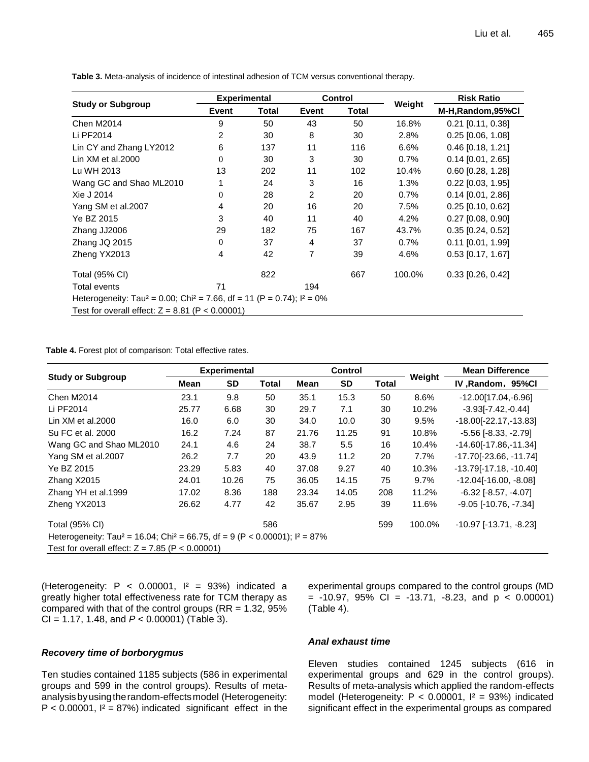**Study or Subgroup Experimental Control**<br> **Event Total Event Total Weight Risk Ratio Event Total Event Total M-H,Random,95%Cl** Chen M2014 9 50 43 50 16.8% 0.21 [0.11, 0.38] Li PF2014 2 30 8 30 2.8% 0.25 [0.06, 1.08] Lin CY and Zhang LY2012 6 137 11 16 6.6% 0.46 [0.18, 1.21] Lin XM et al.2000 0 0 30 30 30 0.7% 0.14 [0.01, 2.65] Lu WH 2013 202 11 102 10.4% 0.60 [0.28, 1.28] Wang GC and Shao ML2010 1 24 3 16 1.3% 0.22 [0.03, 1.95] Xie J 2014 20 28 2 20 0.7% 0.14 [0.01, 2.86] Yang SM et al.2007 **4** 20 16 20 7.5% 0.25 [0.10, 0.62] Ye BZ 2015 3 40 11 40 4.2% 0.27 [0.08, 0.90] Zhang JJ2006 29 182 75 167 43.7% 0.35 [0.24, 0.52] Zhang JQ 2015 0 37 4 37 0.7% 0.11 [0.01, 1.99] Zheng YX2013 4 42 7 39 4.6% 0.53 [0.17, 1.67] Total (95% CI) 667 100.0% 0.33 [0.26, 0.42] 667 100.0% 0.33 [0.26, 0.42] Total events **71** 194 Heterogeneity: Tau<sup>2</sup> = 0.00; Chi<sup>2</sup> = 7.66, df = 11 (P = 0.74);  $I^2 = 0\%$ Test for overall effect:  $Z = 8.81$  (P < 0.00001)

**Table 3.** Meta-analysis of incidence of intestinal adhesion of TCM versus conventional therapy.

**Table 4.** Forest plot of comparison: Total effective rates.

|                                                   |                                                                                                       | <b>Experimental</b> |              |       | Control   |              |         | <b>Mean Difference</b>         |  |
|---------------------------------------------------|-------------------------------------------------------------------------------------------------------|---------------------|--------------|-------|-----------|--------------|---------|--------------------------------|--|
| <b>Study or Subgroup</b>                          | Mean                                                                                                  | <b>SD</b>           | <b>Total</b> | Mean  | <b>SD</b> | <b>Total</b> | Weight  | IV, Random, 95%Cl              |  |
| <b>Chen M2014</b>                                 | 23.1                                                                                                  | 9.8                 | 50           | 35.1  | 15.3      | 50           | 8.6%    | $-12.00[17.04,-6.96]$          |  |
| Li PF2014                                         | 25.77                                                                                                 | 6.68                | 30           | 29.7  | 7.1       | 30           | 10.2%   | $-3.93[-7.42,-0.44]$           |  |
| Lin $XM$ et al. $2000$                            | 16.0                                                                                                  | 6.0                 | 30           | 34.0  | 10.0      | 30           | 9.5%    | $-18.00[-22.17,-13.83]$        |  |
| Su FC et al. 2000                                 | 16.2                                                                                                  | 7.24                | 87           | 21.76 | 11.25     | 91           | 10.8%   | $-5.56$ [ $-8.33$ , $-2.79$ ]  |  |
| Wang GC and Shao ML2010                           | 24.1                                                                                                  | 4.6                 | 24           | 38.7  | 5.5       | 16           | 10.4%   | $-14.60[-17.86,-11.34]$        |  |
| Yang SM et al.2007                                | 26.2                                                                                                  | 7.7                 | 20           | 43.9  | 11.2      | 20           | 7.7%    | $-17.70[-23.66, -11.74]$       |  |
| Ye BZ 2015                                        | 23.29                                                                                                 | 5.83                | 40           | 37.08 | 9.27      | 40           | 10.3%   | $-13.79[-17.18, -10.40]$       |  |
| Zhang X2015                                       | 24.01                                                                                                 | 10.26               | 75           | 36.05 | 14.15     | 75           | $9.7\%$ | $-12.04[-16.00, -8.08]$        |  |
| Zhang YH et al.1999                               | 17.02                                                                                                 | 8.36                | 188          | 23.34 | 14.05     | 208          | 11.2%   | $-6.32$ [ $-8.57, -4.07$ ]     |  |
| Zheng YX2013                                      | 26.62                                                                                                 | 4.77                | 42           | 35.67 | 2.95      | 39           | 11.6%   | $-9.05$ [ $-10.76$ , $-7.34$ ] |  |
| <b>Total (95% CI)</b>                             |                                                                                                       |                     | 586          |       |           | 599          | 100.0%  | $-10.97$ [ $-13.71, -8.23$ ]   |  |
|                                                   | Heterogeneity: Tau <sup>2</sup> = 16.04; Chi <sup>2</sup> = 66.75, df = 9 (P < 0.00001); $I^2 = 87\%$ |                     |              |       |           |              |         |                                |  |
| Test for overall effect: $Z = 7.85$ (P < 0.00001) |                                                                                                       |                     |              |       |           |              |         |                                |  |

(Heterogeneity:  $P < 0.00001$ ,  $I^2 = 93\%$ ) indicated a greatly higher total effectiveness rate for TCM therapy as compared with that of the control groups ( $RR = 1.32$ , 95% CI = 1.17, 1.48, and *P* < 0.00001) (Table 3).

# *Recovery time of borborygmus*

Ten studies contained 1185 subjects (586 in experimental groups and 599 in the control groups). Results of metaanalysisbyusingtherandom-effectsmodel (Heterogeneity:  $P < 0.00001$ ,  $I^2 = 87\%$ ) indicated significant effect in the

experimental groups compared to the control groups (MD  $= -10.97$ , 95% CI =  $-13.71$ ,  $-8.23$ , and  $p < 0.00001$ ) (Table 4).

#### *Anal exhaust time*

Eleven studies contained 1245 subjects (616 in experimental groups and 629 in the control groups). Results of meta-analysis which applied the random-effects model (Heterogeneity:  $P < 0.00001$ ,  $I^2 = 93\%$ ) indicated significant effect in the experimental groups as compared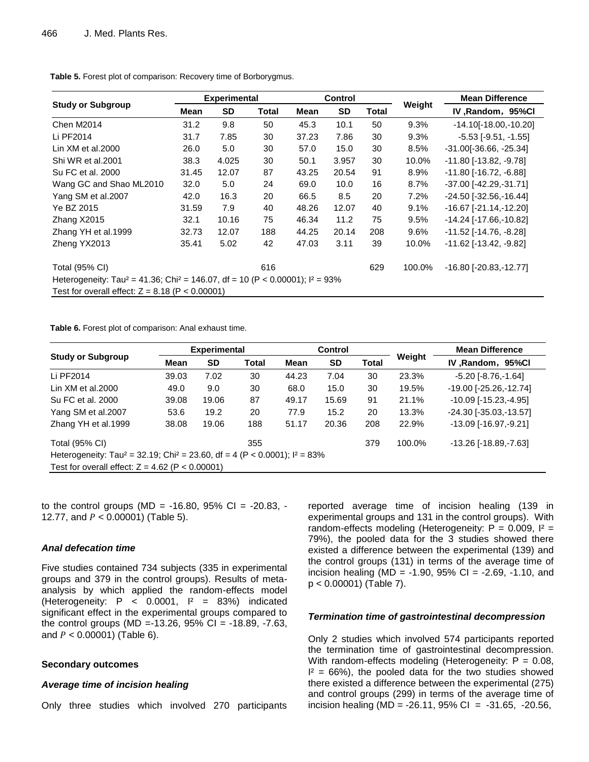|                                                   |                                                                                                        | <b>Experimental</b> |              |       | <b>Control</b> |       |         | <b>Mean Difference</b>          |  |  |
|---------------------------------------------------|--------------------------------------------------------------------------------------------------------|---------------------|--------------|-------|----------------|-------|---------|---------------------------------|--|--|
| <b>Study or Subgroup</b>                          | Mean                                                                                                   | <b>SD</b>           | <b>Total</b> | Mean  | SD             | Total | Weight  | IV, Random, 95%Cl               |  |  |
| <b>Chen M2014</b>                                 | 31.2                                                                                                   | 9.8                 | 50           | 45.3  | 10.1           | 50    | 9.3%    | $-14.10[-18.00,-10.20]$         |  |  |
| Li PF2014                                         | 31.7                                                                                                   | 7.85                | 30           | 37.23 | 7.86           | 30    | $9.3\%$ | $-5.53$ [ $-9.51$ , $-1.55$ ]   |  |  |
| Lin $XM$ et al. $2000$                            | 26.0                                                                                                   | 5.0                 | 30           | 57.0  | 15.0           | 30    | 8.5%    | $-31.00[-36.66, -25.34]$        |  |  |
| Shi WR et al.2001                                 | 38.3                                                                                                   | 4.025               | 30           | 50.1  | 3.957          | 30    | 10.0%   | $-11.80$ [ $-13.82, -9.78$ ]    |  |  |
| Su FC et al. 2000                                 | 31.45                                                                                                  | 12.07               | 87           | 43.25 | 20.54          | 91    | 8.9%    | -11.80 [-16.72, -6.88]          |  |  |
| Wang GC and Shao ML2010                           | 32.0                                                                                                   | 5.0                 | 24           | 69.0  | 10.0           | 16    | $8.7\%$ | -37.00 [-42.29, -31.71]         |  |  |
| Yang SM et al.2007                                | 42.0                                                                                                   | 16.3                | 20           | 66.5  | 8.5            | 20    | 7.2%    | -24.50 [-32.56, -16.44]         |  |  |
| Ye BZ 2015                                        | 31.59                                                                                                  | 7.9                 | 40           | 48.26 | 12.07          | 40    | 9.1%    | -16.67 [-21.14,-12.20]          |  |  |
| Zhang X2015                                       | 32.1                                                                                                   | 10.16               | 75           | 46.34 | 11.2           | 75    | 9.5%    | -14.24 [-17.66,-10.82]          |  |  |
| Zhang YH et al.1999                               | 32.73                                                                                                  | 12.07               | 188          | 44.25 | 20.14          | 208   | $9.6\%$ | $-11.52$ [ $-14.76$ , $-8.28$ ] |  |  |
| Zheng YX2013                                      | 35.41                                                                                                  | 5.02                | 42           | 47.03 | 3.11           | 39    | 10.0%   | $-11.62$ [ $-13.42$ , $-9.82$ ] |  |  |
| Total (95% CI)                                    |                                                                                                        |                     | 616          |       |                | 629   | 100.0%  | $-16.80$ [ $-20.83, -12.77$ ]   |  |  |
|                                                   | Heterogeneity: Tau <sup>2</sup> = 41.36; Chi <sup>2</sup> = 146.07, df = 10 (P < 0.00001); $I^2$ = 93% |                     |              |       |                |       |         |                                 |  |  |
| Test for overall effect: $Z = 8.18$ (P < 0.00001) |                                                                                                        |                     |              |       |                |       |         |                                 |  |  |

**Table 5.** Forest plot of comparison: Recovery time of Borborygmus.

**Table 6.** Forest plot of comparison: Anal exhaust time.

|                                                                                                      |       | <b>Experimental</b> |              |       | <b>Control</b> |              |        | <b>Mean Difference</b>           |  |
|------------------------------------------------------------------------------------------------------|-------|---------------------|--------------|-------|----------------|--------------|--------|----------------------------------|--|
| <b>Study or Subgroup</b>                                                                             | Mean  | <b>SD</b>           | <b>Total</b> | Mean  | <b>SD</b>      | <b>Total</b> | Weight | IV, Random, 95%Cl                |  |
| Li PF2014                                                                                            | 39.03 | 7.02                | 30           | 44.23 | 7.04           | 30           | 23.3%  | $-5.20$ [ $-8.76$ , $-1.64$ ]    |  |
| Lin $XM$ et al. $2000$                                                                               | 49.0  | 9.0                 | 30           | 68.0  | 15.0           | 30           | 19.5%  | $-19.00$ [ $-25.26$ , $-12.74$ ] |  |
| Su FC et al. 2000                                                                                    | 39.08 | 19.06               | 87           | 49.17 | 15.69          | 91           | 21.1%  | $-10.09$ [ $-15.23$ , $-4.95$ ]  |  |
| Yang SM et al.2007                                                                                   | 53.6  | 19.2                | 20           | 77.9  | 15.2           | 20           | 13.3%  | $-24.30$ [ $-35.03$ , $-13.57$ ] |  |
| Zhang YH et al.1999                                                                                  | 38.08 | 19.06               | 188          | 51.17 | 20.36          | 208          | 22.9%  | $-13.09$ [ $-16.97, -9.21$ ]     |  |
| <b>Total (95% CI)</b>                                                                                |       |                     | 355          |       |                | 379          | 100.0% | -13.26 [-18.89, -7.63]           |  |
| Heterogeneity: Tau <sup>2</sup> = 32.19; Chi <sup>2</sup> = 23.60, df = 4 (P < 0.0001); $I^2 = 83\%$ |       |                     |              |       |                |              |        |                                  |  |
| Test for overall effect: $Z = 4.62$ (P < 0.00001)                                                    |       |                     |              |       |                |              |        |                                  |  |

to the control groups (MD =  $-16.80$ , 95% CI =  $-20.83$ ,  $-$ 12.77, and  $P < 0.00001$ ) (Table 5).

#### *Anal defecation time*

Five studies contained 734 subjects (335 in experimental groups and 379 in the control groups). Results of metaanalysis by which applied the random-effects model (Heterogeneity:  $P \lt 0.0001$ ,  $P = 83\%$ ) indicated significant effect in the experimental groups compared to the control groups (MD =-13.26, 95% CI = -18.89, -7.63, and  $P < 0.00001$ ) (Table 6).

#### **Secondary outcomes**

#### *Average time of incision healing*

Only three studies which involved 270 participants

reported average time of incision healing (139 in experimental groups and 131 in the control groups). With random-effects modeling (Heterogeneity:  $P = 0.009$ ,  $I^2 =$ 79%), the pooled data for the 3 studies showed there existed a difference between the experimental (139) and the control groups (131) in terms of the average time of incision healing (MD =  $-1.90$ , 95% CI =  $-2.69$ ,  $-1.10$ , and p < 0.00001) (Table 7).

#### *Termination time of gastrointestinal decompression*

Only 2 studies which involved 574 participants reported the termination time of gastrointestinal decompression. With random-effects modeling (Heterogeneity:  $P = 0.08$ ,  $I^2 = 66\%$ , the pooled data for the two studies showed there existed a difference between the experimental (275) and control groups (299) in terms of the average time of incision healing (MD =  $-26.11$ , 95% CI =  $-31.65$ ,  $-20.56$ ,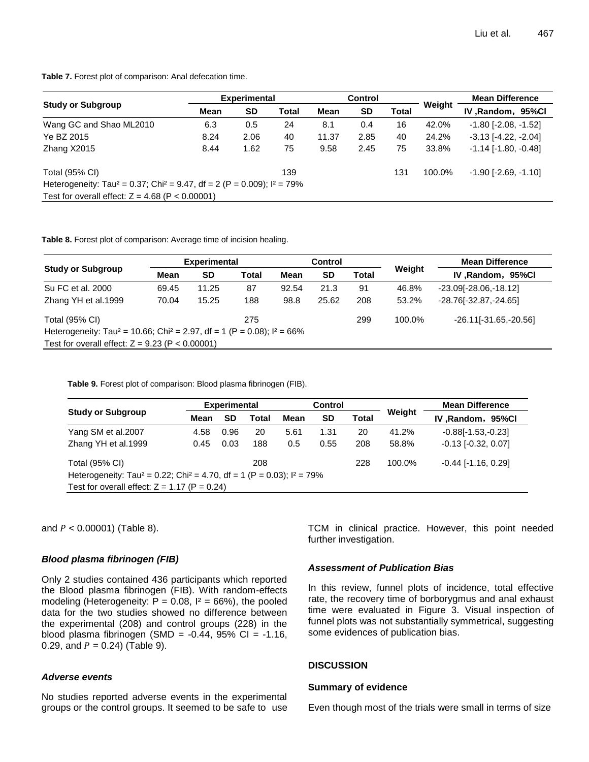**Table 7.** Forest plot of comparison: Anal defecation time.

|                                                                                                   |                   | <b>Experimental</b> |       |                   | <b>Control</b> |       |        | <b>Mean Difference</b>        |
|---------------------------------------------------------------------------------------------------|-------------------|---------------------|-------|-------------------|----------------|-------|--------|-------------------------------|
| <b>Study or Subgroup</b>                                                                          | <b>SD</b><br>Mean |                     | Total | <b>SD</b><br>Mean |                | Total | Weight | IV, Random, 95%Cl             |
| Wang GC and Shao ML2010                                                                           | 6.3               | 0.5                 | 24    | 8.1               | 0.4            | 16    | 42.0%  | $-1.80$ [ $-2.08$ , $-1.52$ ] |
| Ye BZ 2015                                                                                        | 8.24              | 2.06                | 40    | 11.37             | 2.85           | 40    | 24.2%  | $-3.13$ $[-4.22, -2.04]$      |
| Zhang X2015                                                                                       | 8.44              | 1.62                | 75    | 9.58              | 2.45           | 75    | 33.8%  | $-1.14$ [ $-1.80$ , $-0.48$ ] |
| Total (95% CI)                                                                                    |                   |                     | 139   |                   |                | 131   | 100.0% | $-1.90$ [ $-2.69$ , $-1.10$ ] |
| Heterogeneity: Tau <sup>2</sup> = 0.37; Chi <sup>2</sup> = 9.47, df = 2 (P = 0.009); $I^2 = 79\%$ |                   |                     |       |                   |                |       |        |                               |
| Test for overall effect: $Z = 4.68$ (P < 0.00001)                                                 |                   |                     |       |                   |                |       |        |                               |

**Table 8.** Forest plot of comparison: Average time of incision healing.

|                                                   |                                                                                                   | <b>Experimental</b> |       |       | Control |              |        | <b>Mean Difference</b>  |  |  |  |  |
|---------------------------------------------------|---------------------------------------------------------------------------------------------------|---------------------|-------|-------|---------|--------------|--------|-------------------------|--|--|--|--|
| <b>Study or Subgroup</b>                          | Mean<br><b>SD</b>                                                                                 |                     | Total | Mean  |         | <b>Total</b> | Weight | IV, Random, 95%Cl       |  |  |  |  |
| Su FC et al. 2000                                 | 69.45                                                                                             | 11.25               | 87    | 92.54 | 21.3    | 91           | 46.8%  | $-23.09[-28.06,-18.12]$ |  |  |  |  |
| Zhang YH et al.1999                               | 70.04                                                                                             | 15.25               | 188   | 98.8  | 25.62   | 208          | 53.2%  | -28.76[-32.87,-24.65]   |  |  |  |  |
| Total (95% CI)                                    |                                                                                                   |                     | 275   |       |         | 299          | 100.0% | $-26.11[-31.65,-20.56]$ |  |  |  |  |
|                                                   | Heterogeneity: Tau <sup>2</sup> = 10.66; Chi <sup>2</sup> = 2.97, df = 1 (P = 0.08); $I^2 = 66\%$ |                     |       |       |         |              |        |                         |  |  |  |  |
| Test for overall effect: $Z = 9.23$ (P < 0.00001) |                                                                                                   |                     |       |       |         |              |        |                         |  |  |  |  |

**Table 9.** Forest plot of comparison: Blood plasma fibrinogen (FIB).

|                                                                                                  |      | <b>Experimental</b> |              |             | <b>Control</b> |       | Weight | <b>Mean Difference</b>       |  |  |
|--------------------------------------------------------------------------------------------------|------|---------------------|--------------|-------------|----------------|-------|--------|------------------------------|--|--|
| <b>Study or Subgroup</b>                                                                         | Mean | <b>SD</b>           | <b>Total</b> | <b>Mean</b> | <b>SD</b>      | Total |        | IV, Random, 95%Cl            |  |  |
| Yang SM et al.2007                                                                               | 4.58 | 0.96                | 20           | 5.61        | 1.31           | 20    | 41.2%  | $-0.88$ [ $-1.53,-0.23$ ]    |  |  |
| Zhang YH et al.1999                                                                              | 0.45 | 0.03                | 188          | 0.5         | 0.55           | 208   | 58.8%  | $-0.13$ [ $-0.32$ , $0.07$ ] |  |  |
| Total (95% CI)                                                                                   |      |                     | 208          |             |                | 228   | 100.0% | $-0.44$ [ $-1.16$ , $0.29$ ] |  |  |
| Heterogeneity: Tau <sup>2</sup> = 0.22; Chi <sup>2</sup> = 4.70, df = 1 (P = 0.03); $I^2 = 79\%$ |      |                     |              |             |                |       |        |                              |  |  |
| Test for overall effect: $Z = 1.17$ (P = 0.24)                                                   |      |                     |              |             |                |       |        |                              |  |  |

and  $P < 0.00001$ ) (Table 8).

#### *Blood plasma fibrinogen (FIB)*

Only 2 studies contained 436 participants which reported the Blood plasma fibrinogen (FIB). With random-effects modeling (Heterogeneity:  $P = 0.08$ ,  $I^2 = 66\%$ ), the pooled data for the two studies showed no difference between the experimental (208) and control groups (228) in the blood plasma fibrinogen (SMD =  $-0.44$ , 95% Cl =  $-1.16$ , 0.29, and  $P = 0.24$ ) (Table 9).

# *Adverse events*

No studies reported adverse events in the experimental groups or the control groups. It seemed to be safe to use TCM in clinical practice. However, this point needed further investigation.

#### *Assessment of Publication Bias*

In this review, funnel plots of incidence, total effective rate, the recovery time of borborygmus and anal exhaust time were evaluated in Figure 3. Visual inspection of funnel plots was not substantially symmetrical, suggesting some evidences of publication bias.

#### **DISCUSSION**

#### **Summary of evidence**

Even though most of the trials were small in terms of size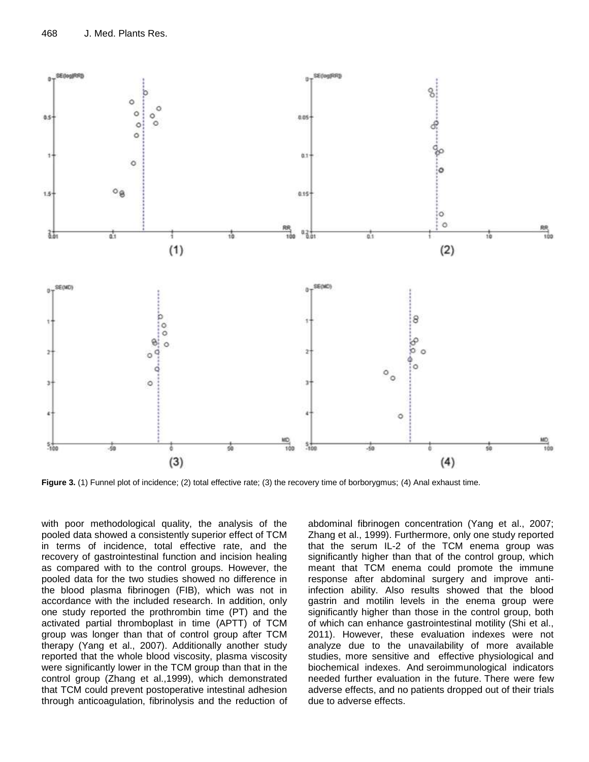

**Figure 3.** (1) Funnel plot of incidence; (2) total effective rate; (3) the recovery time of borborygmus; (4) Anal exhaust time.

with poor methodological quality, the analysis of the pooled data showed a consistently superior effect of TCM in terms of incidence, total effective rate, and the recovery of gastrointestinal function and incision healing as compared with to the control groups. However, the pooled data for the two studies showed no difference in the blood plasma fibrinogen (FIB), which was not in accordance with the included research. In addition, only one study reported the prothrombin time (PT) and the activated partial thromboplast in time (APTT) of TCM group was longer than that of control group after TCM therapy (Yang et al., 2007). Additionally another study reported that the whole blood viscosity, plasma viscosity were significantly lower in the TCM group than that in the control group (Zhang et al.,1999), which demonstrated that TCM could prevent postoperative intestinal adhesion through anticoagulation, fibrinolysis and the reduction of

abdominal fibrinogen concentration (Yang et al., 2007; Zhang et al., 1999). Furthermore, only one study reported that the serum IL-2 of the TCM enema group was significantly higher than that of the control group, which meant that TCM enema could promote the immune response after abdominal surgery and improve antiinfection ability. Also results showed that the blood gastrin and motilin levels in the enema group were significantly higher than those in the control group, both of which can enhance gastrointestinal motility (Shi et al., 2011). However, these evaluation indexes were not analyze due to the unavailability of more available studies, more sensitive and effective physiological and biochemical indexes. And seroimmunological indicators needed further evaluation in the future. There were few adverse effects, and no patients dropped out of their trials due to adverse effects.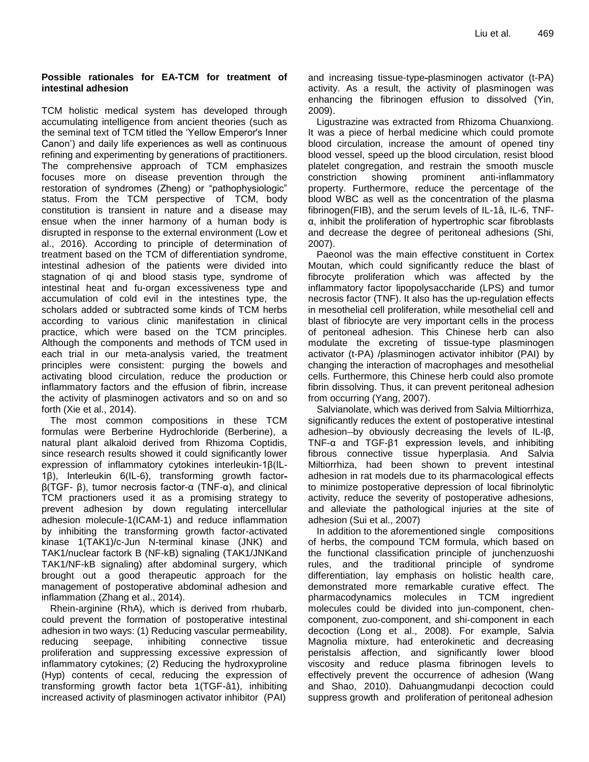#### **Possible rationales for EA-TCM for treatment of intestinal adhesion**

TCM holistic medical system has developed through accumulating intelligence from ancient theories (such as the seminal text of TCM titled the "Yellow Emperor's Inner Canon") and daily life experiences as well as continuous refining and experimenting by generations of practitioners. The comprehensive approach of TCM emphasizes focuses more on disease prevention through the restoration of syndromes (Zheng) or "pathophysiologic" status. From the TCM perspective of TCM, body constitution is transient in nature and a disease may ensue when the inner harmony of a human body is disrupted in response to the external environment (Low et al., 2016). According to principle of determination of treatment based on the TCM of differentiation syndrome, intestinal adhesion of the patients were divided into stagnation of qi and blood stasis type, syndrome of intestinal heat and fu-organ excessiveness type and accumulation of cold evil in the intestines type, the scholars added or subtracted some kinds of TCM herbs according to various clinic manifestation in clinical practice, which were based on the TCM principles. Although the components and methods of TCM used in each trial in our meta-analysis varied, the treatment principles were consistent: purging the bowels and activating blood circulation, reduce the production or inflammatory factors and the effusion of fibrin, increase the activity of plasminogen activators and so on and so forth (Xie et al., 2014).

The most common compositions in these TCM formulas were Berberine Hydrochloride (Berberine), a natural plant alkaloid derived from Rhizoma Coptidis, since research results showed it could significantly lower expression of inflammatory cytokines interleukin-1β(IL-1β), Interleukin 6(IL-6), transforming growth factorβ(TGF- β), tumor necrosis factor-α (TNF-α), and clinical TCM practioners used it as a promising strategy to prevent adhesion by down regulating intercellular adhesion molecule-1(ICAM-1) and reduce inflammation by inhibiting the transforming growth factor-activated kinase 1(TAK1)/c-Jun N-terminal kinase (JNK) and TAK1/nuclear factork B (NF-kB) signaling (TAK1/JNKand TAK1/NF-kB signaling) after abdominal surgery, which brought out a good therapeutic approach for the management of postoperative abdominal adhesion and inflammation (Zhang et al., 2014).

Rhein-arginine (RhA), which is derived from rhubarb, could prevent the formation of postoperative intestinal adhesion in two ways: (1) Reducing vascular permeability, reducing seepage, inhibiting connective tissue proliferation and suppressing excessive expression of inflammatory cytokines; (2) Reducing the hydroxyproline (Hyp) contents of cecal, reducing the expression of transforming growth factor beta 1(TGF-â1), inhibiting increased activity of plasminogen activator inhibitor (PAI) and increasing tissue-type-plasminogen activator (t-PA) activity. As a result, the activity of plasminogen was enhancing the fibrinogen effusion to dissolved (Yin, 2009).

Ligustrazine was extracted from Rhizoma Chuanxiong. It was a piece of herbal medicine which could promote blood circulation, increase the amount of opened tiny blood vessel, speed up the blood circulation, resist blood platelet congregation, and restrain the smooth muscle constriction showing prominent anti-inflammatory property. Furthermore, reduce the percentage of the blood WBC as well as the concentration of the plasma fibrinogen(FIB), and the serum levels of IL-1â, IL-6, TNFα, inhibit the proliferation of hypertrophic scar fibroblasts and decrease the degree of peritoneal adhesions (Shi, 2007).

Paeonol was the main effective constituent in Cortex Moutan, which could significantly reduce the blast of [fibrocyte](https://www.baidu.com/link?url=xUzEf1SBkSCO1mIg5TixNM0kiBHkDOCoZehw1HPOA-YE0MSH0wOlnCWLTJFzH40b&wd=&eqid=dbfb50f700035f670000000558d3961a) proliferation which was affected by the inflammatory factor lipopolysaccharide (LPS) and tumor necrosis factor (TNF). It also has the up-regulation effects in mesothelial cell proliferation, while mesothelial cell and blast of fibriocyte are very important cells in the process of peritoneal adhesion. This Chinese herb can also modulate the excreting of tissue-type plasminogen activator (t-PA) /plasminogen activator inhibitor (PAI) by changing the interaction of macrophages and mesothelial cells. Furthermore, this Chinese herb could also promote fibrin dissolving. Thus, it can prevent peritoneal adhesion from occurring (Yang, 2007).

Salvianolate, which was derived from Salvia Miltiorrhiza, significantly reduces the extent of postoperative intestinal adhesion by obviously decreasing the levels of IL-lβ, TNF-α and TGF-β1 expression levels, and inhibiting fibrous connective tissue hyperplasia. And Salvia Miltiorrhiza, had been shown to prevent intestinal adhesion in rat models due to its pharmacological effects to minimize postoperative depression of local fibrinolytic activity, reduce the severity of postoperative adhesions, and alleviate the pathological injuries at the site of adhesion (Sui et al., 2007)

In addition to the aforementioned single compositions of herbs, the compound TCM formula, which based on the functional classification principle of junchenzuoshi rules, and the traditional principle of syndrome differentiation, lay emphasis on holistic health care, demonstrated more remarkable curative effect. The pharmacodynamics molecules in TCM ingredient molecules could be divided into jun-component, chencomponent, zuo-component, and shi-component in each decoction (Long et al., 2008). For example, Salvia Magnolia mixture, had enterokinetic and decreasing peristalsis affection, and significantly lower blood viscosity and reduce plasma fibrinogen levels to effectively prevent the occurrence of adhesion (Wang and Shao, 2010). Dahuangmudanpi decoction could suppress growth and proliferation of peritoneal adhesion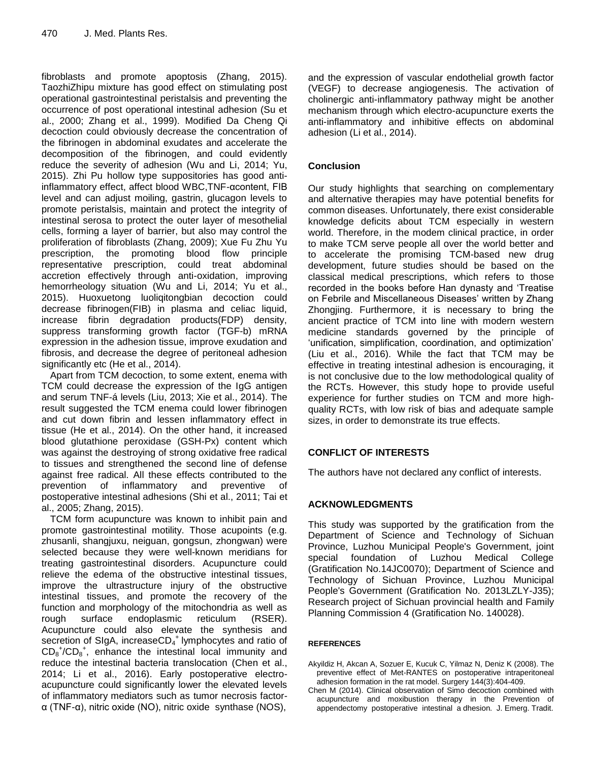fibroblasts and promote apoptosis (Zhang, 2015). TaozhiZhipu mixture has good effect on stimulating post operational gastrointestinal peristalsis and preventing the occurrence of post operational intestinal adhesion (Su et al., 2000; Zhang et al., 1999). Modified Da Cheng Qi decoction could obviously decrease the concentration of the fibrinogen in abdominal exudates and accelerate the decomposition of the fibrinogen, and could evidently reduce the severity of adhesion (Wu and Li, 2014; Yu, 2015). Zhi Pu hollow type suppositories has good antiinflammatory effect, affect blood WBC,TNF-αcontent, FIB level and can adjust moiling, gastrin, glucagon levels to promote peristalsis, maintain and protect the integrity of intestinal serosa to protect the outer layer of mesothelial cells, forming a layer of barrier, but also may control the proliferation of fibroblasts (Zhang, 2009); Xue Fu Zhu Yu prescription, the promoting blood flow principle representative prescription, could treat abdominal accretion effectively through anti-oxidation, improving hemorrheology situation (Wu and Li, 2014; Yu et al., 2015). Huoxuetong luoliqitongbian decoction could decrease fibrinogen(FIB) in plasma and celiac liquid, increase fibrin degradation products(FDP) density, suppress transforming growth factor (TGF-b) mRNA expression in the adhesion tissue, improve exudation and fibrosis, and decrease the degree of peritoneal adhesion significantly etc (He et al., 2014).

Apart from TCM decoction, to some extent, enema with TCM could decrease the expression of the IgG antigen and serum TNF-á levels (Liu, 2013; Xie et al., 2014). The result suggested the TCM enema could lower fibrinogen and cut down fibrin and lessen inflammatory effect in tissue (He et al., 2014). On the other hand, it increased blood glutathione peroxidase (GSH-Px) content which was against the destroying of strong oxidative free radical to tissues and strengthened the second line of defense against free radical. All these effects contributed to the prevention of inflammatory and preventive of postoperative intestinal adhesions (Shi et al., 2011; Tai et al., 2005; Zhang, 2015).

TCM form acupuncture was known to inhibit pain and promote gastrointestinal motility. Those acupoints (e.g. zhusanli, shangjuxu, neiguan, gongsun, zhongwan) were selected because they were well-known meridians for treating gastrointestinal disorders. Acupuncture could relieve the edema of the obstructive intestinal tissues, improve the ultrastructure injury of the obstructive intestinal tissues, and promote the recovery of the function and morphology of the mitochondria as well as rough surface endoplasmic reticulum (RSER). Acupuncture could also elevate the synthesis and secretion of SIgA, increaseCD<sub>4</sub><sup>+</sup> lymphocytes and ratio of  $CD_8^+ / CD_8^+$ , enhance the intestinal local immunity and reduce the intestinal bacteria translocation (Chen et al., 2014; Li et al., 2016). Early postoperative electroacupuncture could significantly lower the elevated levels of inflammatory mediators such as tumor necrosis factorα (TNF-α), nitric oxide (NO), nitric oxide synthase (NOS),

and the expression of vascular endothelial growth factor (VEGF) to decrease angiogenesis. The activation of cholinergic anti-inflammatory pathway might be another mechanism through which electro-acupuncture exerts the anti-inflammatory and inhibitive effects on abdominal adhesion (Li et al., 2014).

# **Conclusion**

Our study highlights that searching on complementary and alternative therapies may have potential benefits for common diseases. Unfortunately, there exist considerable knowledge deficits about TCM especially in western world. Therefore, in the modem clinical practice, in order to make TCM serve people all over the world better and to accelerate the promising TCM-based new drug development, future studies should be based on the classical medical prescriptions, which refers to those recorded in the books before Han dynasty and "Treatise on Febrile and Miscellaneous Diseases' written by Zhang Zhongjing. Furthermore, it is necessary to bring the ancient practice of TCM into line with modern western medicine standards governed by the principle of 'unification, simplification, coordination, and optimization' (Liu et al., 2016). While the fact that TCM may be effective in treating intestinal adhesion is encouraging, it is not conclusive due to the low methodological quality of the RCTs. However, this study hope to provide useful experience for further studies on TCM and more highquality RCTs, with low risk of bias and adequate sample sizes, in order to demonstrate its true effects.

# **CONFLICT OF INTERESTS**

The authors have not declared any conflict of interests.

# **ACKNOWLEDGMENTS**

This study was supported by the gratification from the Department of Science and Technology of Sichuan Province, Luzhou Municipal People's Government, joint special foundation of Luzhou Medical College (Gratification No.14JC0070); Department of Science and Technology of Sichuan Province, Luzhou Municipal People's Government (Gratification No. 2013LZLY-J35); Research project of Sichuan provincial health and Family Planning Commission 4 (Gratification No. 140028).

#### **REFERENCES**

- Akyildiz H, Akcan A, Sozuer E, Kucuk C, Yilmaz N, Deniz K (2008). The preventive effect of Met-RANTES on postoperative intraperitoneal adhesion formation in the rat model. Surgery 144(3):404-409.
- Chen M (2014). Clinical observation of Simo decoction combined with acupuncture and moxibustion therapy in the Prevention of appendectomy postoperative intestinal a dhesion. J. Emerg. Tradit.